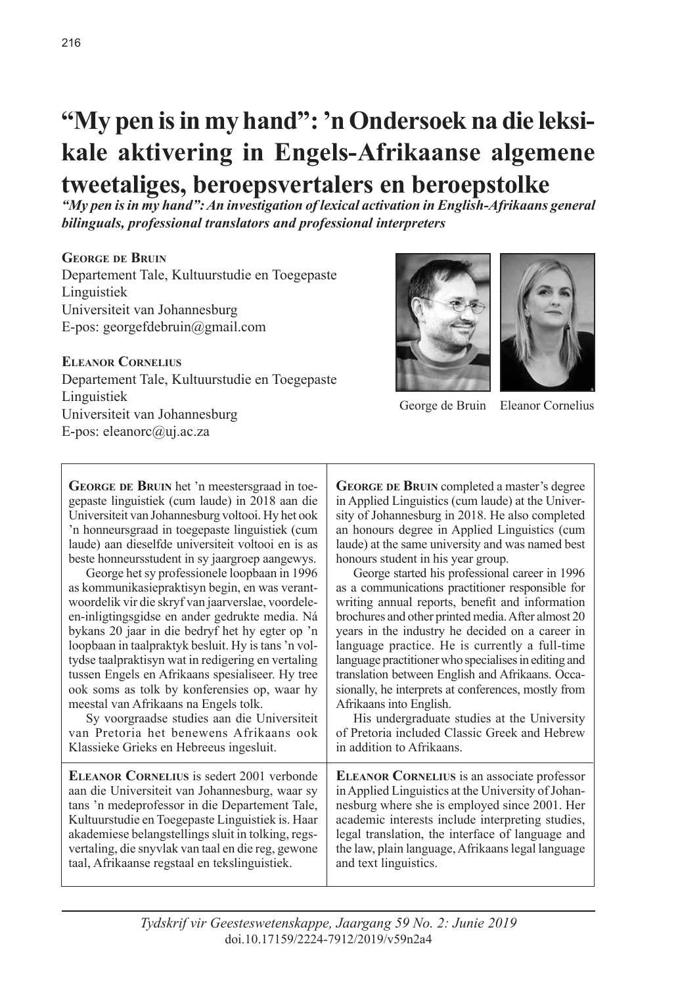# **"My pen is in my hand": 'n Ondersoek na die leksikale aktivering in Engels-Afrikaanse algemene tweetaliges, beroepsvertalers en beroepstolke**

*"My pen is in my hand": An investigation of lexical activation in English-Afrikaans general bilinguals, professional translators and professional interpreters*

#### **George de Bruin**

Departement Tale, Kultuurstudie en Toegepaste Linguistiek Universiteit van Johannesburg E-pos: georgefdebruin@gmail.com

#### **Eleanor Cornelius**

Departement Tale, Kultuurstudie en Toegepaste Linguistiek Universiteit van Johannesburg E-pos: eleanorc@uj.ac.za



George de Bruin Eleanor Cornelius

GEORGE DE BRUIN het 'n meestersgraad in toegepaste linguistiek (cum laude) in 2018 aan die Universiteit van Johannesburg voltooi. Hy het ook 'n honneursgraad in toegepaste linguistiek (cum laude) aan dieselfde universiteit voltooi en is as beste honneursstudent in sy jaargroep aangewys.

George het sy professionele loopbaan in 1996 as kommunikasiepraktisyn begin, en was verantwoordelik vir die skryf van jaarverslae, voordeleen-inligtingsgidse en ander gedrukte media. Ná bykans 20 jaar in die bedryf het hy egter op 'n loopbaan in taalpraktyk besluit. Hy is tans 'n voltydse taalpraktisyn wat in redigering en vertaling tussen Engels en Afrikaans spesialiseer. Hy tree ook soms as tolk by konferensies op, waar hy meestal van Afrikaans na Engels tolk.

Sy voorgraadse studies aan die Universiteit van Pretoria het benewens Afrikaans ook Klassieke Grieks en Hebreeus ingesluit.

**Eleanor Cornelius** is sedert 2001 verbonde aan die Universiteit van Johannesburg, waar sy tans 'n medeprofessor in die Departement Tale, Kultuurstudie en Toegepaste Linguistiek is. Haar akademiese belangstellings sluit in tolking, regsvertaling, die snyvlak van taal en die reg, gewone taal, Afrikaanse regstaal en tekslinguistiek.

**George de Bruin** completed a master's degree in Applied Linguistics (cum laude) at the University of Johannesburg in 2018. He also completed an honours degree in Applied Linguistics (cum laude) at the same university and was named best honours student in his year group.

George started his professional career in 1996 as a communications practitioner responsible for writing annual reports, benefit and information brochures and other printed media. After almost 20 years in the industry he decided on a career in language practice. He is currently a full-time language practitioner who specialises in editing and translation between English and Afrikaans. Occasionally, he interprets at conferences, mostly from Afrikaans into English.

His undergraduate studies at the University of Pretoria included Classic Greek and Hebrew in addition to Afrikaans.

**Eleanor Cornelius** is an associate professor in Applied Linguistics at the University of Johannesburg where she is employed since 2001. Her academic interests include interpreting studies, legal translation, the interface of language and the law, plain language, Afrikaans legal language and text linguistics.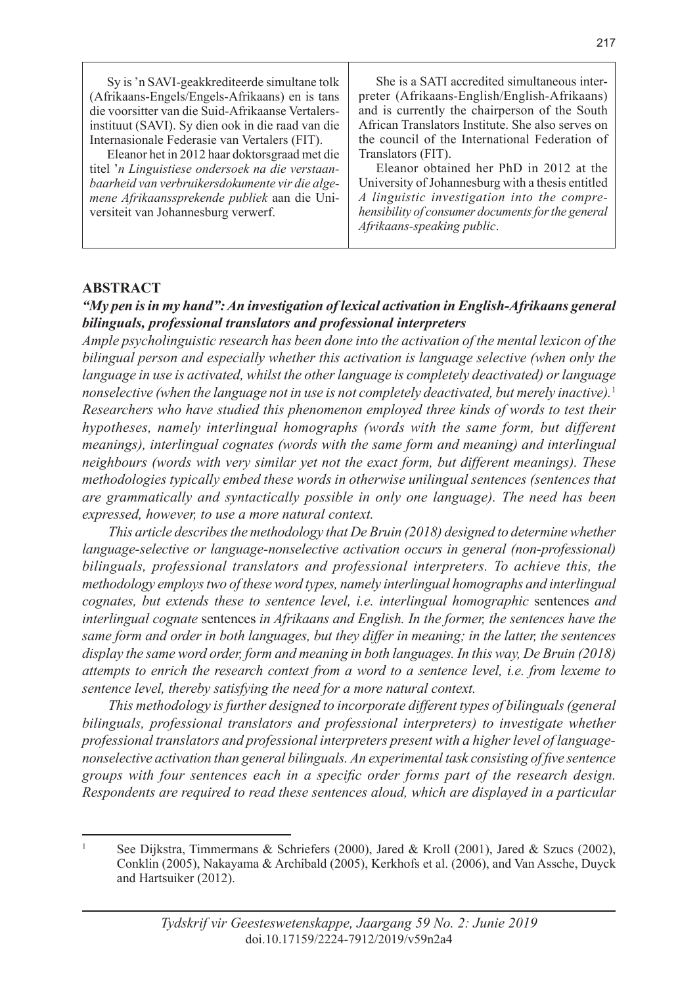Sy is 'n SAVI-geakkrediteerde simultane tolk (Afrikaans-Engels/Engels-Afrikaans) en is tans die voorsitter van die Suid-Afrikaanse Vertalersinstituut (SAVI). Sy dien ook in die raad van die Internasionale Federasie van Vertalers (FIT).

Eleanor het in 2012 haar doktorsgraad met die titel '*n Linguistiese ondersoek na die verstaanbaarheid van verbruikersdokumente vir die algemene Afrikaanssprekende publiek* aan die Universiteit van Johannesburg verwerf.

She is a SATI accredited simultaneous interpreter (Afrikaans-English/English-Afrikaans) and is currently the chairperson of the South African Translators Institute. She also serves on the council of the International Federation of Translators (FIT).

Eleanor obtained her PhD in 2012 at the University of Johannesburg with a thesis entitled *A linguistic investigation into the comprehensibility of consumer documents for the general Afrikaans-speaking public*.

#### **ABSTRACT**

#### *"My pen is in my hand": An investigation of lexical activation in English-Afrikaans general bilinguals, professional translators and professional interpreters*

*Ample psycholinguistic research has been done into the activation of the mental lexicon of the bilingual person and especially whether this activation is language selective (when only the language in use is activated, whilst the other language is completely deactivated) or language nonselective (when the language not in use is not completely deactivated, but merely inactive).*<sup>1</sup> *Researchers who have studied this phenomenon employed three kinds of words to test their hypotheses, namely interlingual homographs (words with the same form, but different meanings), interlingual cognates (words with the same form and meaning) and interlingual neighbours (words with very similar yet not the exact form, but different meanings). These methodologies typically embed these words in otherwise unilingual sentences (sentences that are grammatically and syntactically possible in only one language). The need has been expressed, however, to use a more natural context.*

*This article describes the methodology that De Bruin (2018) designed to determine whether language-selective or language-nonselective activation occurs in general (non-professional) bilinguals, professional translators and professional interpreters. To achieve this, the methodology employs two of these word types, namely interlingual homographs and interlingual cognates, but extends these to sentence level, i.e. interlingual homographic* sentences *and interlingual cognate* sentences *in Afrikaans and English. In the former, the sentences have the same form and order in both languages, but they differ in meaning; in the latter, the sentences display the same word order, form and meaning in both languages. In this way, De Bruin (2018) attempts to enrich the research context from a word to a sentence level, i.e. from lexeme to sentence level, thereby satisfying the need for a more natural context.*

*This methodology is further designed to incorporate different types of bilinguals (general bilinguals, professional translators and professional interpreters) to investigate whether professional translators and professional interpreters present with a higher level of languagenonselective activation than general bilinguals. An experimental task consisting of five sentence groups with four sentences each in a specific order forms part of the research design. Respondents are required to read these sentences aloud, which are displayed in a particular* 

See Dijkstra, Timmermans & Schriefers (2000), Jared & Kroll (2001), Jared & Szucs (2002), Conklin (2005), Nakayama & Archibald (2005), Kerkhofs et al. (2006), and Van Assche, Duyck and Hartsuiker (2012).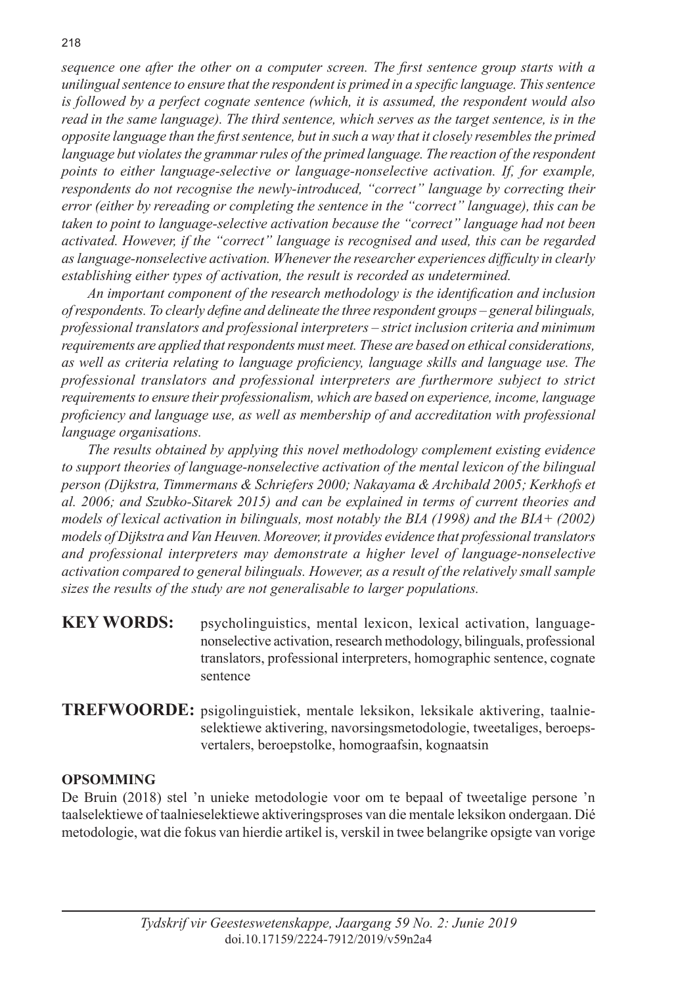*sequence one after the other on a computer screen. The first sentence group starts with a unilingual sentence to ensure that the respondent is primed in a specific language. This sentence is followed by a perfect cognate sentence (which, it is assumed, the respondent would also read in the same language). The third sentence, which serves as the target sentence, is in the opposite language than the first sentence, but in such a way that it closely resembles the primed*  language but violates the grammar rules of the primed language. The reaction of the respondent *points to either language-selective or language-nonselective activation. If, for example, respondents do not recognise the newly-introduced, "correct" language by correcting their error (either by rereading or completing the sentence in the "correct" language), this can be taken to point to language-selective activation because the "correct" language had not been activated. However, if the "correct" language is recognised and used, this can be regarded as language-nonselective activation. Whenever the researcher experiences difficulty in clearly establishing either types of activation, the result is recorded as undetermined.*

*An important component of the research methodology is the identification and inclusion of respondents. To clearly define and delineate the three respondent groups – general bilinguals, professional translators and professional interpreters – strict inclusion criteria and minimum requirements are applied that respondents must meet. These are based on ethical considerations, as well as criteria relating to language proficiency, language skills and language use. The professional translators and professional interpreters are furthermore subject to strict requirements to ensure their professionalism, which are based on experience, income, language proficiency and language use, as well as membership of and accreditation with professional language organisations.* 

*The results obtained by applying this novel methodology complement existing evidence to support theories of language-nonselective activation of the mental lexicon of the bilingual person (Dijkstra, Timmermans & Schriefers 2000; Nakayama & Archibald 2005; Kerkhofs et al. 2006; and Szubko-Sitarek 2015) and can be explained in terms of current theories and models of lexical activation in bilinguals, most notably the BIA (1998) and the BIA+ (2002) models of Dijkstra and Van Heuven. Moreover, it provides evidence that professional translators and professional interpreters may demonstrate a higher level of language-nonselective activation compared to general bilinguals. However, as a result of the relatively small sample sizes the results of the study are not generalisable to larger populations.* 

- **KEY WORDS:** psycholinguistics, mental lexicon, lexical activation, languagenonselective activation, research methodology, bilinguals, professional translators, professional interpreters, homographic sentence, cognate sentence
- **TREFWOORDE:** psigolinguistiek, mentale leksikon, leksikale aktivering, taalnieselektiewe aktivering, navorsingsmetodologie, tweetaliges, beroepsvertalers, beroepstolke, homograafsin, kognaatsin

## **OPSOMMING**

De Bruin (2018) stel 'n unieke metodologie voor om te bepaal of tweetalige persone 'n taalselektiewe of taalnieselektiewe aktiveringsproses van die mentale leksikon ondergaan. Dié metodologie, wat die fokus van hierdie artikel is, verskil in twee belangrike opsigte van vorige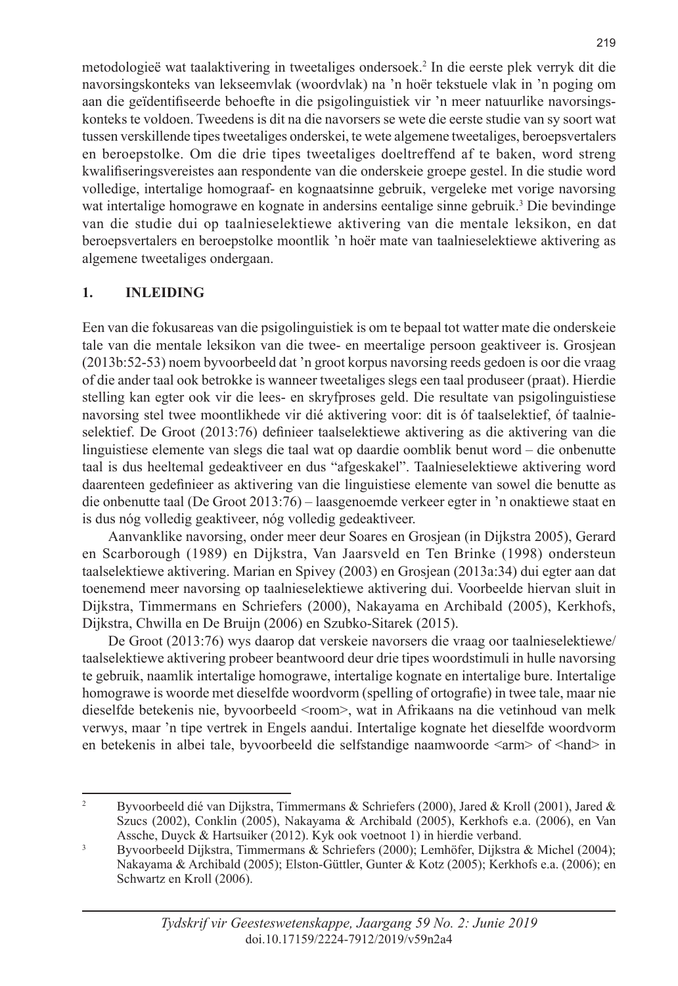metodologieë wat taalaktivering in tweetaliges ondersoek.2 In die eerste plek verryk dit die navorsingskonteks van lekseemvlak (woordvlak) na 'n hoër tekstuele vlak in 'n poging om aan die geïdentifiseerde behoefte in die psigolinguistiek vir 'n meer natuurlike navorsingskonteks te voldoen. Tweedens is dit na die navorsers se wete die eerste studie van sy soort wat tussen verskillende tipes tweetaliges onderskei, te wete algemene tweetaliges, beroepsvertalers en beroepstolke. Om die drie tipes tweetaliges doeltreffend af te baken, word streng kwalifiseringsvereistes aan respondente van die onderskeie groepe gestel. In die studie word volledige, intertalige homograaf- en kognaatsinne gebruik, vergeleke met vorige navorsing wat intertalige homograwe en kognate in andersins eentalige sinne gebruik.<sup>3</sup> Die bevindinge van die studie dui op taalnieselektiewe aktivering van die mentale leksikon, en dat beroepsvertalers en beroepstolke moontlik 'n hoër mate van taalnieselektiewe aktivering as algemene tweetaliges ondergaan.

## **1. INLEIDING**

Een van die fokusareas van die psigolinguistiek is om te bepaal tot watter mate die onderskeie tale van die mentale leksikon van die twee- en meertalige persoon geaktiveer is. Grosjean (2013b:52-53) noem byvoorbeeld dat 'n groot korpus navorsing reeds gedoen is oor die vraag of die ander taal ook betrokke is wanneer tweetaliges slegs een taal produseer (praat). Hierdie stelling kan egter ook vir die lees- en skryfproses geld. Die resultate van psigolinguistiese navorsing stel twee moontlikhede vir dié aktivering voor: dit is óf taalselektief, óf taalnieselektief. De Groot (2013:76) definieer taalselektiewe aktivering as die aktivering van die linguistiese elemente van slegs die taal wat op daardie oomblik benut word – die onbenutte taal is dus heeltemal gedeaktiveer en dus "afgeskakel". Taalnieselektiewe aktivering word daarenteen gedefinieer as aktivering van die linguistiese elemente van sowel die benutte as die onbenutte taal (De Groot 2013:76) – laasgenoemde verkeer egter in 'n onaktiewe staat en is dus nóg volledig geaktiveer, nóg volledig gedeaktiveer.

Aanvanklike navorsing, onder meer deur Soares en Grosjean (in Dijkstra 2005), Gerard en Scarborough (1989) en Dijkstra, Van Jaarsveld en Ten Brinke (1998) ondersteun taalselektiewe aktivering. Marian en Spivey (2003) en Grosjean (2013a:34) dui egter aan dat toenemend meer navorsing op taalnieselektiewe aktivering dui. Voorbeelde hiervan sluit in Dijkstra, Timmermans en Schriefers (2000), Nakayama en Archibald (2005), Kerkhofs, Dijkstra, Chwilla en De Bruijn (2006) en Szubko-Sitarek (2015).

De Groot (2013:76) wys daarop dat verskeie navorsers die vraag oor taalnieselektiewe/ taalselektiewe aktivering probeer beantwoord deur drie tipes woordstimuli in hulle navorsing te gebruik, naamlik intertalige homograwe, intertalige kognate en intertalige bure. Intertalige homograwe is woorde met dieselfde woordvorm (spelling of ortografie) in twee tale, maar nie dieselfde betekenis nie, byvoorbeeld <room>, wat in Afrikaans na die vetinhoud van melk verwys, maar 'n tipe vertrek in Engels aandui. Intertalige kognate het dieselfde woordvorm en betekenis in albei tale, byvoorbeeld die selfstandige naamwoorde <arm> of <hand> in

<sup>&</sup>lt;sup>2</sup> Byvoorbeeld dié van Dijkstra, Timmermans & Schriefers (2000), Jared & Kroll (2001), Jared & Szucs (2002), Conklin (2005), Nakayama & Archibald (2005), Kerkhofs e.a. (2006), en Van Assche, Duyck & Hartsuiker (2012). Kyk ook voetnoot 1) in hierdie verband.

<sup>3</sup> Byvoorbeeld Dijkstra, Timmermans & Schriefers (2000); Lemhöfer, Dijkstra & Michel (2004); Nakayama & Archibald (2005); Elston-Güttler, Gunter & Kotz (2005); Kerkhofs e.a. (2006); en Schwartz en Kroll (2006).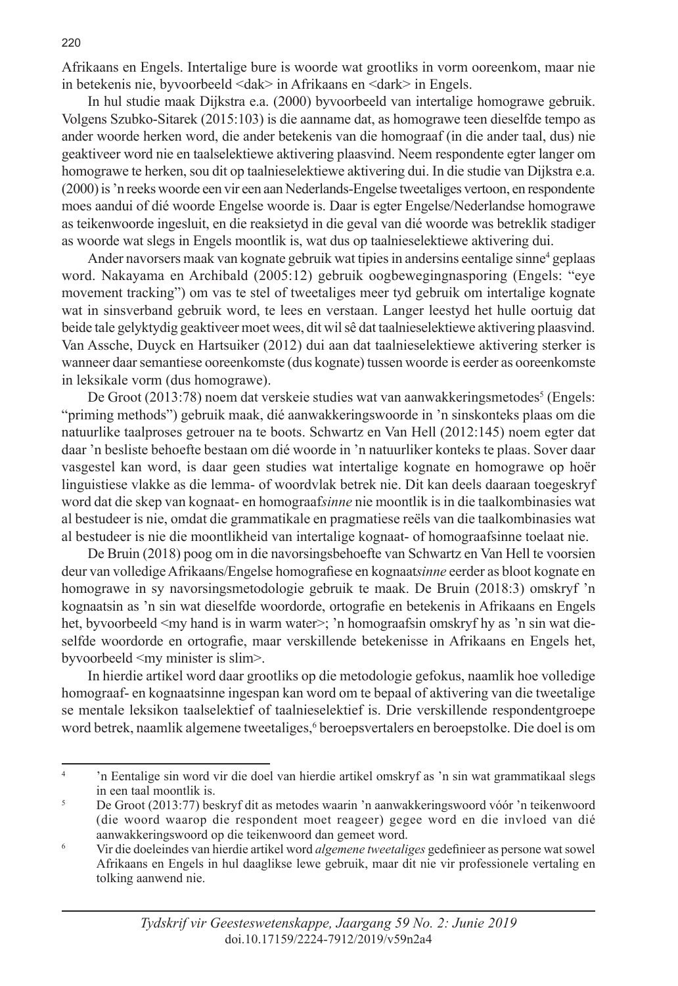Afrikaans en Engels. Intertalige bure is woorde wat grootliks in vorm ooreenkom, maar nie in betekenis nie, byvoorbeeld <dak> in Afrikaans en <dark> in Engels.

In hul studie maak Dijkstra e.a. (2000) byvoorbeeld van intertalige homograwe gebruik. Volgens Szubko-Sitarek (2015:103) is die aanname dat, as homograwe teen dieselfde tempo as ander woorde herken word, die ander betekenis van die homograaf (in die ander taal, dus) nie geaktiveer word nie en taalselektiewe aktivering plaasvind. Neem respondente egter langer om homograwe te herken, sou dit op taalnieselektiewe aktivering dui. In die studie van Dijkstra e.a. (2000) is 'n reeks woorde een vir een aan Nederlands-Engelse tweetaliges vertoon, en respondente moes aandui of dié woorde Engelse woorde is. Daar is egter Engelse/Nederlandse homograwe as teikenwoorde ingesluit, en die reaksietyd in die geval van dié woorde was betreklik stadiger as woorde wat slegs in Engels moontlik is, wat dus op taalnieselektiewe aktivering dui.

Ander navorsers maak van kognate gebruik wat tipies in andersins eentalige sinne<sup>4</sup> geplaas word. Nakayama en Archibald (2005:12) gebruik oogbewegingnasporing (Engels: "eye movement tracking") om vas te stel of tweetaliges meer tyd gebruik om intertalige kognate wat in sinsverband gebruik word, te lees en verstaan. Langer leestyd het hulle oortuig dat beide tale gelyktydig geaktiveer moet wees, dit wil sê dat taalnieselektiewe aktivering plaasvind. Van Assche, Duyck en Hartsuiker (2012) dui aan dat taalnieselektiewe aktivering sterker is wanneer daar semantiese ooreenkomste (dus kognate) tussen woorde is eerder as ooreenkomste in leksikale vorm (dus homograwe).

De Groot (2013:78) noem dat verskeie studies wat van aanwakkeringsmetodes<sup>5</sup> (Engels: "priming methods") gebruik maak, dié aanwakkeringswoorde in 'n sinskonteks plaas om die natuurlike taalproses getrouer na te boots. Schwartz en Van Hell (2012:145) noem egter dat daar 'n besliste behoefte bestaan om dié woorde in 'n natuurliker konteks te plaas. Sover daar vasgestel kan word, is daar geen studies wat intertalige kognate en homograwe op hoër linguistiese vlakke as die lemma- of woordvlak betrek nie. Dit kan deels daaraan toegeskryf word dat die skep van kognaat- en homograaf*sinne* nie moontlik is in die taalkombinasies wat al bestudeer is nie, omdat die grammatikale en pragmatiese reëls van die taalkombinasies wat al bestudeer is nie die moontlikheid van intertalige kognaat- of homograafsinne toelaat nie.

De Bruin (2018) poog om in die navorsingsbehoefte van Schwartz en Van Hell te voorsien deur van volledige Afrikaans/Engelse homografiese en kognaat*sinne* eerder as bloot kognate en homograwe in sy navorsingsmetodologie gebruik te maak. De Bruin (2018:3) omskryf 'n kognaatsin as 'n sin wat dieselfde woordorde, ortografie en betekenis in Afrikaans en Engels het, byvoorbeeld <my hand is in warm water>; 'n homograafsin omskryf hy as 'n sin wat dieselfde woordorde en ortografie, maar verskillende betekenisse in Afrikaans en Engels het, byvoorbeeld <my minister is slim>.

In hierdie artikel word daar grootliks op die metodologie gefokus, naamlik hoe volledige homograaf- en kognaatsinne ingespan kan word om te bepaal of aktivering van die tweetalige se mentale leksikon taalselektief of taalnieselektief is. Drie verskillende respondentgroepe word betrek, naamlik algemene tweetaliges, <sup>6</sup> beroepsvertalers en beroepstolke. Die doel is om

<sup>4</sup> 'n Eentalige sin word vir die doel van hierdie artikel omskryf as 'n sin wat grammatikaal slegs in een taal moontlik is.

<sup>5</sup> De Groot (2013:77) beskryf dit as metodes waarin 'n aanwakkeringswoord vóór 'n teikenwoord (die woord waarop die respondent moet reageer) gegee word en die invloed van dié aanwakkeringswoord op die teikenwoord dan gemeet word.

<sup>6</sup> Vir die doeleindes van hierdie artikel word *algemene tweetaliges* gedefinieer as persone wat sowel Afrikaans en Engels in hul daaglikse lewe gebruik, maar dit nie vir professionele vertaling en tolking aanwend nie.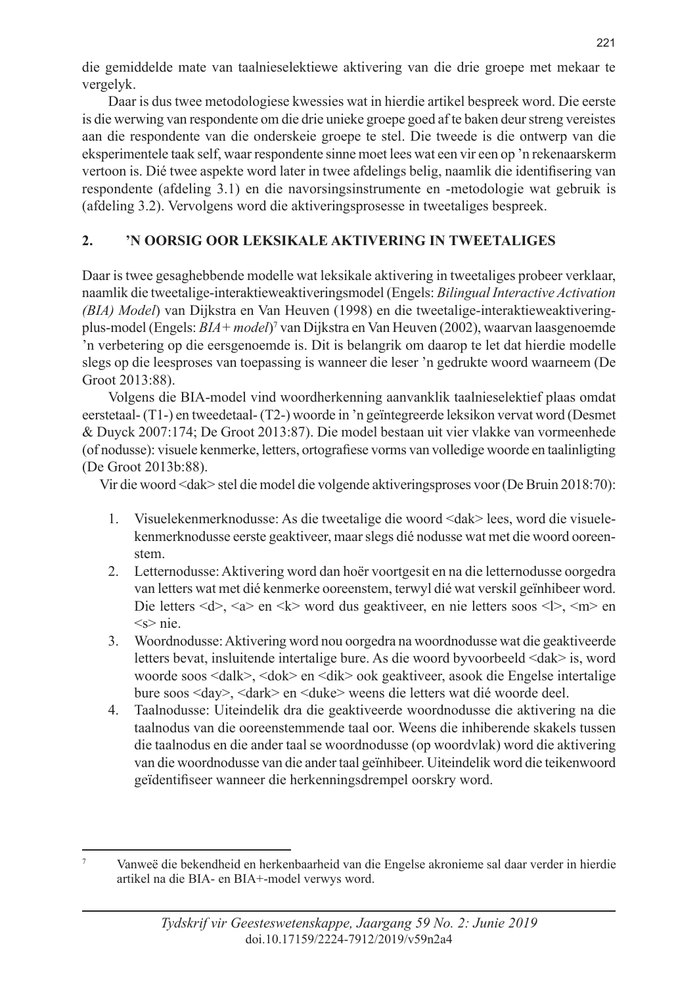die gemiddelde mate van taalnieselektiewe aktivering van die drie groepe met mekaar te vergelyk.

Daar is dus twee metodologiese kwessies wat in hierdie artikel bespreek word. Die eerste is die werwing van respondente om die drie unieke groepe goed af te baken deur streng vereistes aan die respondente van die onderskeie groepe te stel. Die tweede is die ontwerp van die eksperimentele taak self, waar respondente sinne moet lees wat een vir een op 'n rekenaarskerm vertoon is. Dié twee aspekte word later in twee afdelings belig, naamlik die identifisering van respondente (afdeling 3.1) en die navorsingsinstrumente en -metodologie wat gebruik is (afdeling 3.2). Vervolgens word die aktiveringsprosesse in tweetaliges bespreek.

## **2. 'N OORSIG OOR LEKSIKALE AKTIVERING IN TWEETALIGES**

Daar is twee gesaghebbende modelle wat leksikale aktivering in tweetaliges probeer verklaar, naamlik die tweetalige-interaktieweaktiveringsmodel (Engels: *Bilingual Interactive Activation (BIA) Model*) van Dijkstra en Van Heuven (1998) en die tweetalige-interaktieweaktiveringplus-model (Engels: *BIA+ model)*<sup>7</sup> van Dijkstra en Van Heuven (2002), waarvan laasgenoemde 'n verbetering op die eersgenoemde is. Dit is belangrik om daarop te let dat hierdie modelle slegs op die leesproses van toepassing is wanneer die leser 'n gedrukte woord waarneem (De Groot 2013:88).

Volgens die BIA-model vind woordherkenning aanvanklik taalnieselektief plaas omdat eerstetaal- (T1-) en tweedetaal- (T2-) woorde in 'n geïntegreerde leksikon vervat word (Desmet & Duyck 2007:174; De Groot 2013:87). Die model bestaan uit vier vlakke van vormeenhede (of nodusse): visuele kenmerke, letters, ortografiese vorms van volledige woorde en taalinligting (De Groot 2013b:88).

Vir die woord <dak> stel die model die volgende aktiveringsproses voor (De Bruin 2018:70):

- 1. Visuelekenmerknodusse: As die tweetalige die woord <dak> lees, word die visuelekenmerknodusse eerste geaktiveer, maar slegs dié nodusse wat met die woord ooreenstem.
- 2. Letternodusse: Aktivering word dan hoër voortgesit en na die letternodusse oorgedra van letters wat met dié kenmerke ooreenstem, terwyl dié wat verskil geïnhibeer word. Die letters  $\langle d \rangle$ ,  $\langle a \rangle$  en  $\langle k \rangle$  word dus geaktiveer, en nie letters soos  $\langle k \rangle$ ,  $\langle m \rangle$  en  $\leq$ s> nie.
- 3. Woordnodusse: Aktivering word nou oorgedra na woordnodusse wat die geaktiveerde letters bevat, insluitende intertalige bure. As die woord byvoorbeeld <dak> is, word woorde soos <dalk>, <dok> en <dik> ook geaktiveer, asook die Engelse intertalige bure soos <day>, <dark> en <duke> weens die letters wat dié woorde deel.
- 4. Taalnodusse: Uiteindelik dra die geaktiveerde woordnodusse die aktivering na die taalnodus van die ooreenstemmende taal oor. Weens die inhiberende skakels tussen die taalnodus en die ander taal se woordnodusse (op woordvlak) word die aktivering van die woordnodusse van die ander taal geïnhibeer. Uiteindelik word die teikenwoord geïdentifiseer wanneer die herkenningsdrempel oorskry word.

<sup>7</sup> Vanweë die bekendheid en herkenbaarheid van die Engelse akronieme sal daar verder in hierdie artikel na die BIA- en BIA+-model verwys word.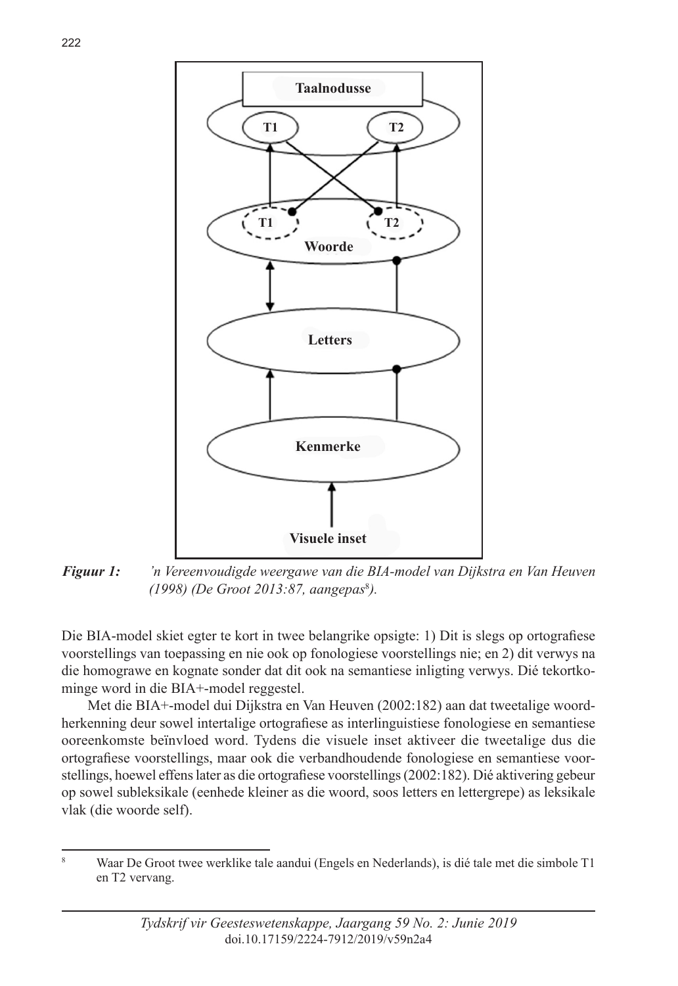



*Figuur 1: 'n Vereenvoudigde weergawe van die BIA-model van Dijkstra en Van Heuven (1998) (De Groot 2013:87, aangepas*<sup>8</sup> *).*

Die BIA-model skiet egter te kort in twee belangrike opsigte: 1) Dit is slegs op ortografiese voorstellings van toepassing en nie ook op fonologiese voorstellings nie; en 2) dit verwys na die homograwe en kognate sonder dat dit ook na semantiese inligting verwys. Dié tekortkominge word in die BIA+-model reggestel.

Met die BIA+-model dui Dijkstra en Van Heuven (2002:182) aan dat tweetalige woordherkenning deur sowel intertalige ortografiese as interlinguistiese fonologiese en semantiese ooreenkomste beïnvloed word. Tydens die visuele inset aktiveer die tweetalige dus die ortografiese voorstellings, maar ook die verbandhoudende fonologiese en semantiese voorstellings, hoewel effens later as die ortografiese voorstellings (2002:182). Dié aktivering gebeur op sowel subleksikale (eenhede kleiner as die woord, soos letters en lettergrepe) as leksikale vlak (die woorde self).

<sup>8</sup> Waar De Groot twee werklike tale aandui (Engels en Nederlands), is dié tale met die simbole T1 en T2 vervang.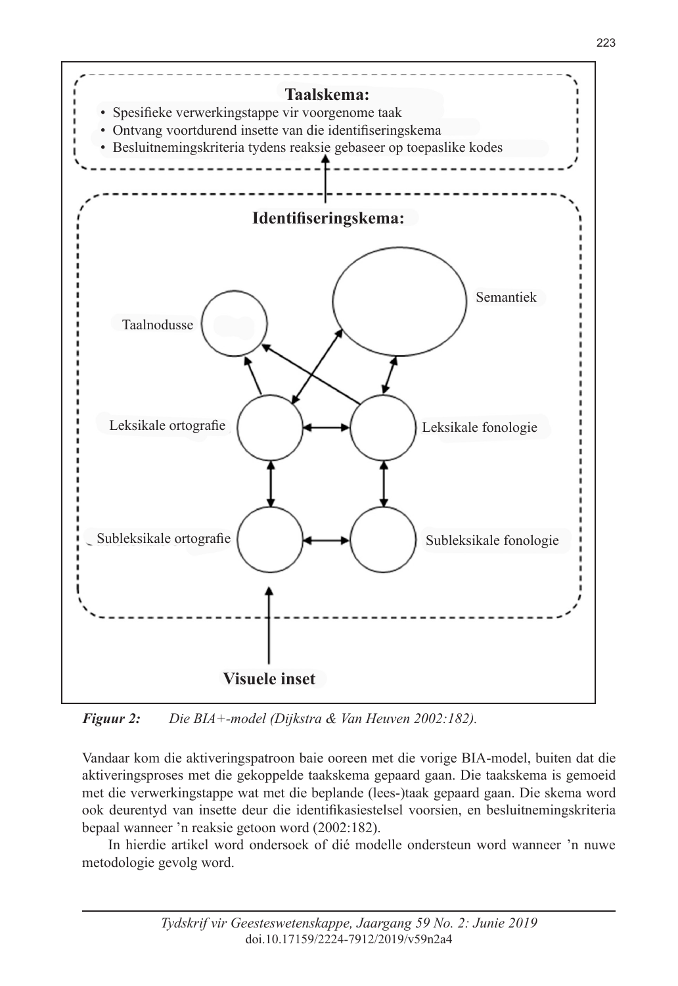

*Figuur 2: Die BIA+-model (Dijkstra & Van Heuven 2002:182).*

Vandaar kom die aktiveringspatroon baie ooreen met die vorige BIA-model, buiten dat die aktiveringsproses met die gekoppelde taakskema gepaard gaan. Die taakskema is gemoeid met die verwerkingstappe wat met die beplande (lees-)taak gepaard gaan. Die skema word ook deurentyd van insette deur die identifikasiestelsel voorsien, en besluitnemingskriteria bepaal wanneer 'n reaksie getoon word (2002:182).

In hierdie artikel word ondersoek of dié modelle ondersteun word wanneer 'n nuwe metodologie gevolg word.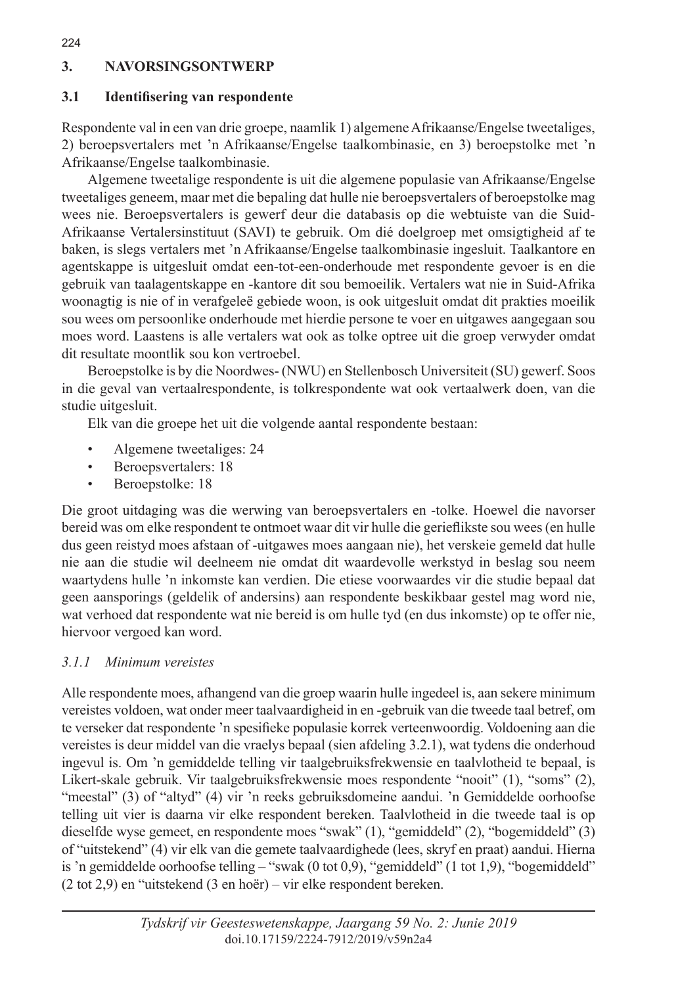## **3. NAVORSINGSONTWERP**

## **3.1 Identifisering van respondente**

Respondente val in een van drie groepe, naamlik 1) algemene Afrikaanse/Engelse tweetaliges, 2) beroepsvertalers met 'n Afrikaanse/Engelse taalkombinasie, en 3) beroepstolke met 'n Afrikaanse/Engelse taalkombinasie.

Algemene tweetalige respondente is uit die algemene populasie van Afrikaanse/Engelse tweetaliges geneem, maar met die bepaling dat hulle nie beroepsvertalers of beroepstolke mag wees nie. Beroepsvertalers is gewerf deur die databasis op die webtuiste van die Suid-Afrikaanse Vertalersinstituut (SAVI) te gebruik. Om dié doelgroep met omsigtigheid af te baken, is slegs vertalers met 'n Afrikaanse/Engelse taalkombinasie ingesluit. Taalkantore en agentskappe is uitgesluit omdat een-tot-een-onderhoude met respondente gevoer is en die gebruik van taalagentskappe en -kantore dit sou bemoeilik. Vertalers wat nie in Suid-Afrika woonagtig is nie of in verafgeleë gebiede woon, is ook uitgesluit omdat dit prakties moeilik sou wees om persoonlike onderhoude met hierdie persone te voer en uitgawes aangegaan sou moes word. Laastens is alle vertalers wat ook as tolke optree uit die groep verwyder omdat dit resultate moontlik sou kon vertroebel.

Beroepstolke is by die Noordwes- (NWU) en Stellenbosch Universiteit (SU) gewerf. Soos in die geval van vertaalrespondente, is tolkrespondente wat ook vertaalwerk doen, van die studie uitgesluit.

Elk van die groepe het uit die volgende aantal respondente bestaan:

- Algemene tweetaliges: 24
- Beroepsvertalers: 18
- Beroepstolke: 18

Die groot uitdaging was die werwing van beroepsvertalers en -tolke. Hoewel die navorser bereid was om elke respondent te ontmoet waar dit vir hulle die gerieflikste sou wees (en hulle dus geen reistyd moes afstaan of -uitgawes moes aangaan nie), het verskeie gemeld dat hulle nie aan die studie wil deelneem nie omdat dit waardevolle werkstyd in beslag sou neem waartydens hulle 'n inkomste kan verdien. Die etiese voorwaardes vir die studie bepaal dat geen aansporings (geldelik of andersins) aan respondente beskikbaar gestel mag word nie, wat verhoed dat respondente wat nie bereid is om hulle tyd (en dus inkomste) op te offer nie, hiervoor vergoed kan word.

## *3.1.1 Minimum vereistes*

Alle respondente moes, afhangend van die groep waarin hulle ingedeel is, aan sekere minimum vereistes voldoen, wat onder meer taalvaardigheid in en -gebruik van die tweede taal betref, om te verseker dat respondente 'n spesifieke populasie korrek verteenwoordig. Voldoening aan die vereistes is deur middel van die vraelys bepaal (sien afdeling 3.2.1), wat tydens die onderhoud ingevul is. Om 'n gemiddelde telling vir taalgebruiksfrekwensie en taalvlotheid te bepaal, is Likert-skale gebruik. Vir taalgebruiksfrekwensie moes respondente "nooit" (1), "soms" (2), "meestal" (3) of "altyd" (4) vir 'n reeks gebruiksdomeine aandui. 'n Gemiddelde oorhoofse telling uit vier is daarna vir elke respondent bereken. Taalvlotheid in die tweede taal is op dieselfde wyse gemeet, en respondente moes "swak" (1), "gemiddeld" (2), "bogemiddeld" (3) of "uitstekend" (4) vir elk van die gemete taalvaardighede (lees, skryf en praat) aandui. Hierna is 'n gemiddelde oorhoofse telling – "swak (0 tot 0,9), "gemiddeld" (1 tot 1,9), "bogemiddeld" (2 tot 2,9) en "uitstekend (3 en hoër) – vir elke respondent bereken.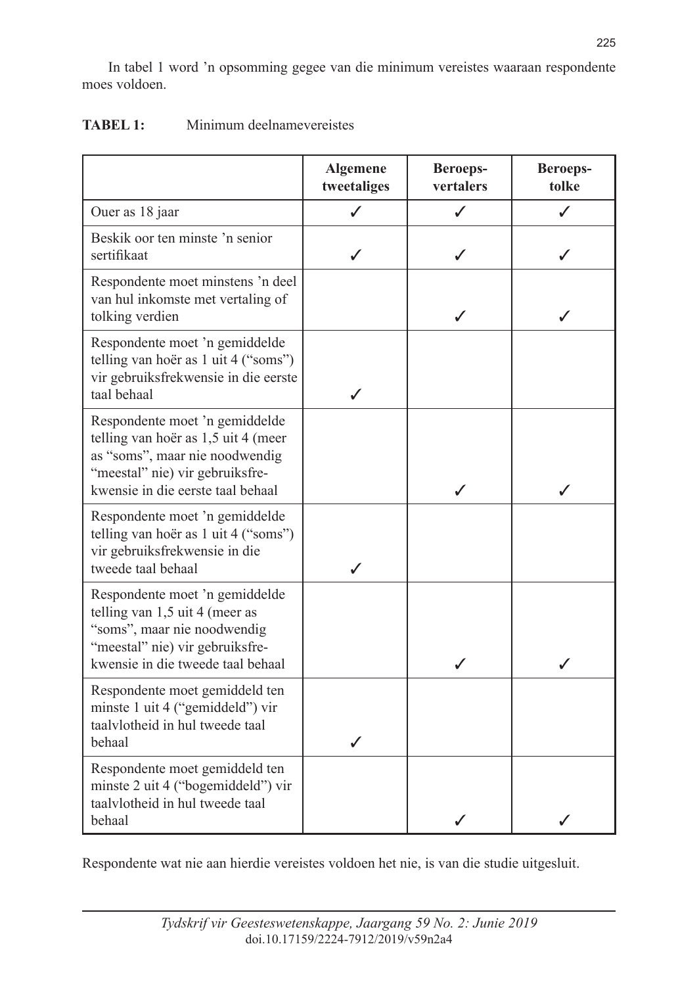In tabel 1 word 'n opsomming gegee van die minimum vereistes waaraan respondente moes voldoen.

|                                                                                                                                                                                 | <b>Algemene</b><br>tweetaliges | <b>Beroeps-</b><br>vertalers | Beroeps-<br>tolke |
|---------------------------------------------------------------------------------------------------------------------------------------------------------------------------------|--------------------------------|------------------------------|-------------------|
| Ouer as 18 jaar                                                                                                                                                                 | ✓                              | ✓                            | ✓                 |
| Beskik oor ten minste 'n senior<br>sertifikaat                                                                                                                                  |                                |                              |                   |
| Respondente moet minstens 'n deel<br>van hul inkomste met vertaling of<br>tolking verdien                                                                                       |                                |                              |                   |
| Respondente moet 'n gemiddelde<br>telling van hoër as 1 uit 4 ("soms")<br>vir gebruiksfrekwensie in die eerste<br>taal behaal                                                   | ℐ                              |                              |                   |
| Respondente moet 'n gemiddelde<br>telling van hoër as 1,5 uit 4 (meer<br>as "soms", maar nie noodwendig<br>"meestal" nie) vir gebruiksfre-<br>kwensie in die eerste taal behaal |                                |                              |                   |
| Respondente moet 'n gemiddelde<br>telling van hoër as 1 uit 4 ("soms")<br>vir gebruiksfrekwensie in die<br>tweede taal behaal                                                   |                                |                              |                   |
| Respondente moet 'n gemiddelde<br>telling van $1,5$ uit 4 (meer as<br>"soms", maar nie noodwendig<br>"meestal" nie) vir gebruiksfre-<br>kwensie in die tweede taal behaal       |                                | J                            | J                 |
| Respondente moet gemiddeld ten<br>minste 1 uit 4 ("gemiddeld") vir<br>taalvlotheid in hul tweede taal<br>behaal                                                                 |                                |                              |                   |
| Respondente moet gemiddeld ten<br>minste 2 uit 4 ("bogemiddeld") vir<br>taalvlotheid in hul tweede taal<br>behaal                                                               |                                |                              |                   |

## **TABEL 1:** Minimum deelnamevereistes

Respondente wat nie aan hierdie vereistes voldoen het nie, is van die studie uitgesluit.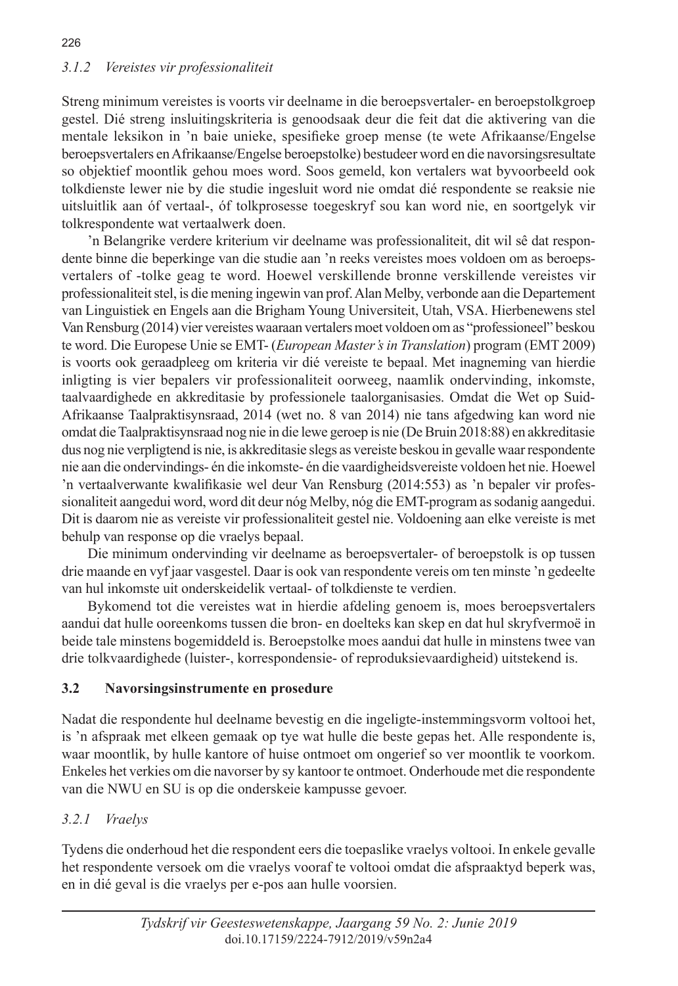## *3.1.2 Vereistes vir professionaliteit*

Streng minimum vereistes is voorts vir deelname in die beroepsvertaler- en beroepstolkgroep gestel. Dié streng insluitingskriteria is genoodsaak deur die feit dat die aktivering van die mentale leksikon in 'n baie unieke, spesifieke groep mense (te wete Afrikaanse/Engelse beroepsvertalers en Afrikaanse/Engelse beroepstolke) bestudeer word en die navorsingsresultate so objektief moontlik gehou moes word. Soos gemeld, kon vertalers wat byvoorbeeld ook tolkdienste lewer nie by die studie ingesluit word nie omdat dié respondente se reaksie nie uitsluitlik aan óf vertaal-, óf tolkprosesse toegeskryf sou kan word nie, en soortgelyk vir tolkrespondente wat vertaalwerk doen.

'n Belangrike verdere kriterium vir deelname was professionaliteit, dit wil sê dat respondente binne die beperkinge van die studie aan 'n reeks vereistes moes voldoen om as beroepsvertalers of -tolke geag te word. Hoewel verskillende bronne verskillende vereistes vir professionaliteit stel, is die mening ingewin van prof. Alan Melby, verbonde aan die Departement van Linguistiek en Engels aan die Brigham Young Universiteit, Utah, VSA. Hierbenewens stel Van Rensburg (2014) vier vereistes waaraan vertalers moet voldoen om as "professioneel" beskou te word. Die Europese Unie se EMT- (*European Master's in Translation*) program (EMT 2009) is voorts ook geraadpleeg om kriteria vir dié vereiste te bepaal. Met inagneming van hierdie inligting is vier bepalers vir professionaliteit oorweeg, naamlik ondervinding, inkomste, taalvaardighede en akkreditasie by professionele taalorganisasies. Omdat die Wet op Suid-Afrikaanse Taalpraktisynsraad, 2014 (wet no. 8 van 2014) nie tans afgedwing kan word nie omdat die Taalpraktisynsraad nog nie in die lewe geroep is nie (De Bruin 2018:88) en akkreditasie dus nog nie verpligtend is nie, is akkreditasie slegs as vereiste beskou in gevalle waar respondente nie aan die ondervindings- én die inkomste- én die vaardigheidsvereiste voldoen het nie. Hoewel 'n vertaalverwante kwalifikasie wel deur Van Rensburg (2014:553) as 'n bepaler vir professionaliteit aangedui word, word dit deur nóg Melby, nóg die EMT-program as sodanig aangedui. Dit is daarom nie as vereiste vir professionaliteit gestel nie. Voldoening aan elke vereiste is met behulp van response op die vraelys bepaal.

Die minimum ondervinding vir deelname as beroepsvertaler- of beroepstolk is op tussen drie maande en vyf jaar vasgestel. Daar is ook van respondente vereis om ten minste 'n gedeelte van hul inkomste uit onderskeidelik vertaal- of tolkdienste te verdien.

Bykomend tot die vereistes wat in hierdie afdeling genoem is, moes beroepsvertalers aandui dat hulle ooreenkoms tussen die bron- en doelteks kan skep en dat hul skryfvermoë in beide tale minstens bogemiddeld is. Beroepstolke moes aandui dat hulle in minstens twee van drie tolkvaardighede (luister-, korrespondensie- of reproduksievaardigheid) uitstekend is.

## **3.2 Navorsingsinstrumente en prosedure**

Nadat die respondente hul deelname bevestig en die ingeligte-instemmingsvorm voltooi het, is 'n afspraak met elkeen gemaak op tye wat hulle die beste gepas het. Alle respondente is, waar moontlik, by hulle kantore of huise ontmoet om ongerief so ver moontlik te voorkom. Enkeles het verkies om die navorser by sy kantoor te ontmoet. Onderhoude met die respondente van die NWU en SU is op die onderskeie kampusse gevoer.

## *3.2.1 Vraelys*

Tydens die onderhoud het die respondent eers die toepaslike vraelys voltooi. In enkele gevalle het respondente versoek om die vraelys vooraf te voltooi omdat die afspraaktyd beperk was, en in dié geval is die vraelys per e-pos aan hulle voorsien.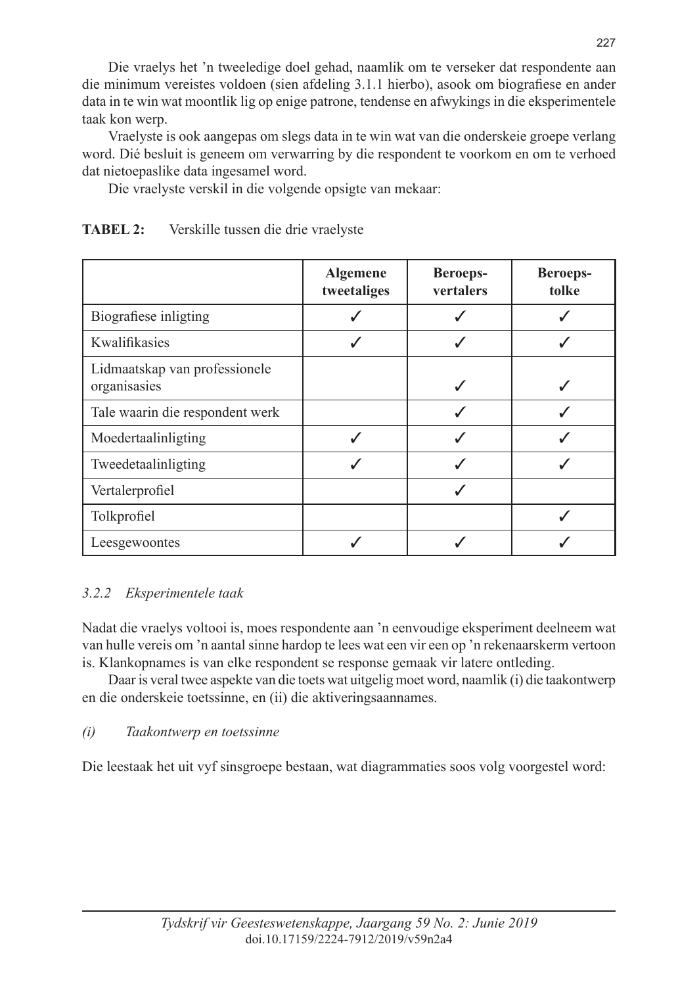Die vraelys het 'n tweeledige doel gehad, naamlik om te verseker dat respondente aan die minimum vereistes voldoen (sien afdeling 3.1.1 hierbo), asook om biografiese en ander data in te win wat moontlik lig op enige patrone, tendense en afwykings in die eksperimentele taak kon werp.

Vraelyste is ook aangepas om slegs data in te win wat van die onderskeie groepe verlang word. Dié besluit is geneem om verwarring by die respondent te voorkom en om te verhoed dat nietoepaslike data ingesamel word.

Die vraelyste verskil in die volgende opsigte van mekaar:

|                                               | <b>Algemene</b><br>tweetaliges | <b>Beroeps-</b><br>vertalers | <b>Beroeps-</b><br>tolke |
|-----------------------------------------------|--------------------------------|------------------------------|--------------------------|
| Biografiese inligting                         |                                |                              |                          |
| Kwalifikasies                                 |                                |                              |                          |
| Lidmaatskap van professionele<br>organisasies |                                |                              |                          |
| Tale waarin die respondent werk               |                                |                              |                          |
| Moedertaalinligting                           |                                |                              |                          |
| Tweedetaalinligting                           |                                |                              |                          |
| Vertalerprofiel                               |                                |                              |                          |
| Tolkprofiel                                   |                                |                              |                          |
| Leesgewoontes                                 |                                |                              |                          |

## **TABEL 2:** Verskille tussen die drie vraelyste

## *3.2.2 Eksperimentele taak*

Nadat die vraelys voltooi is, moes respondente aan 'n eenvoudige eksperiment deelneem wat van hulle vereis om 'n aantal sinne hardop te lees wat een vir een op 'n rekenaarskerm vertoon is. Klankopnames is van elke respondent se response gemaak vir latere ontleding.

Daar is veral twee aspekte van die toets wat uitgelig moet word, naamlik (i) die taakontwerp en die onderskeie toetssinne, en (ii) die aktiveringsaannames.

## *(i) Taakontwerp en toetssinne*

Die leestaak het uit vyf sinsgroepe bestaan, wat diagrammaties soos volg voorgestel word: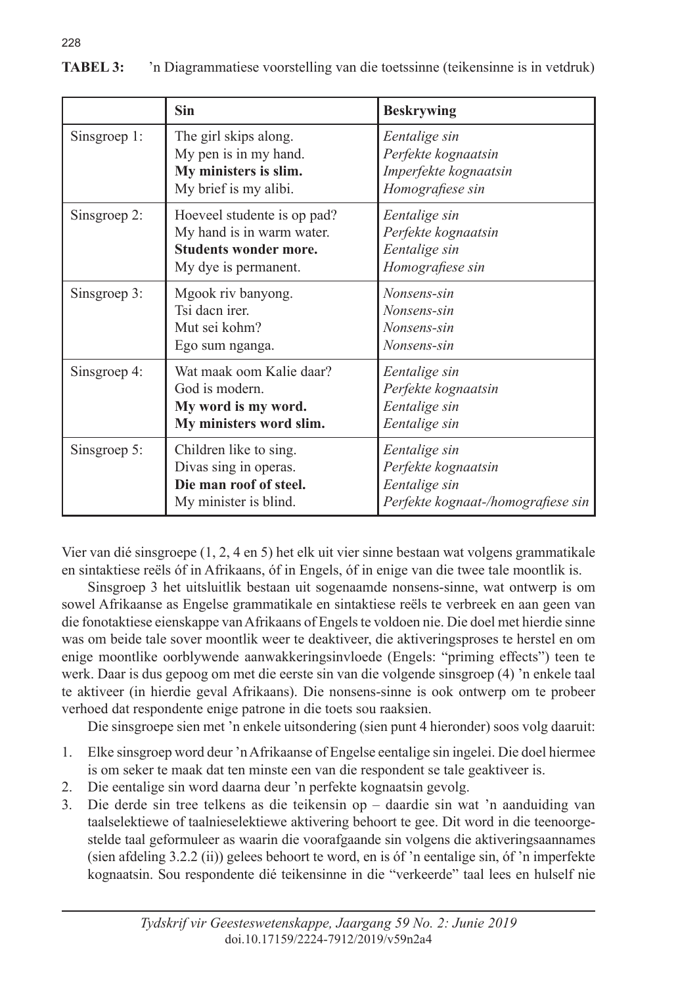|              | <b>Sin</b>                                                                                                       | <b>Beskrywing</b>                                                                           |
|--------------|------------------------------------------------------------------------------------------------------------------|---------------------------------------------------------------------------------------------|
| Sinsgroep 1: | The girl skips along.<br>My pen is in my hand.<br>My ministers is slim.<br>My brief is my alibi.                 | Eentalige sin<br>Perfekte kognaatsin<br>Imperfekte kognaatsin<br>Homografiese sin           |
| Sinsgroep 2: | Hoeveel studente is op pad?<br>My hand is in warm water.<br><b>Students wonder more.</b><br>My dye is permanent. | Eentalige sin<br>Perfekte kognaatsin<br>Eentalige sin<br>Homografiese sin                   |
| Sinsgroep 3: | Mgook riv banyong.<br>Tsi daen irer.<br>Mut sei kohm?<br>Ego sum nganga.                                         | Nonsens-sin<br>Nonsens-sin<br>Nonsens-sin<br>Nonsens-sin                                    |
| Sinsgroep 4: | Wat maak oom Kalie daar?<br>God is modern.<br>My word is my word.<br>My ministers word slim.                     | Eentalige sin<br>Perfekte kognaatsin<br>Eentalige sin<br>Eentalige sin                      |
| Sinsgroep 5: | Children like to sing.<br>Divas sing in operas.<br>Die man roof of steel.<br>My minister is blind.               | Eentalige sin<br>Perfekte kognaatsin<br>Eentalige sin<br>Perfekte kognaat-/homografiese sin |

**TABEL 3:** 'n Diagrammatiese voorstelling van die toetssinne (teikensinne is in vetdruk)

Vier van dié sinsgroepe (1, 2, 4 en 5) het elk uit vier sinne bestaan wat volgens grammatikale en sintaktiese reëls óf in Afrikaans, óf in Engels, óf in enige van die twee tale moontlik is.

Sinsgroep 3 het uitsluitlik bestaan uit sogenaamde nonsens-sinne, wat ontwerp is om sowel Afrikaanse as Engelse grammatikale en sintaktiese reëls te verbreek en aan geen van die fonotaktiese eienskappe van Afrikaans of Engels te voldoen nie. Die doel met hierdie sinne was om beide tale sover moontlik weer te deaktiveer, die aktiveringsproses te herstel en om enige moontlike oorblywende aanwakkeringsinvloede (Engels: "priming effects") teen te werk. Daar is dus gepoog om met die eerste sin van die volgende sinsgroep (4) 'n enkele taal te aktiveer (in hierdie geval Afrikaans). Die nonsens-sinne is ook ontwerp om te probeer verhoed dat respondente enige patrone in die toets sou raaksien.

Die sinsgroepe sien met 'n enkele uitsondering (sien punt 4 hieronder) soos volg daaruit:

- 1. Elke sinsgroep word deur 'n Afrikaanse of Engelse eentalige sin ingelei. Die doel hiermee is om seker te maak dat ten minste een van die respondent se tale geaktiveer is.
- 2. Die eentalige sin word daarna deur 'n perfekte kognaatsin gevolg.
- 3. Die derde sin tree telkens as die teikensin op daardie sin wat 'n aanduiding van taalselektiewe of taalnieselektiewe aktivering behoort te gee. Dit word in die teenoorgestelde taal geformuleer as waarin die voorafgaande sin volgens die aktiveringsaannames (sien afdeling 3.2.2 (ii)) gelees behoort te word, en is óf 'n eentalige sin, óf 'n imperfekte kognaatsin. Sou respondente dié teikensinne in die "verkeerde" taal lees en hulself nie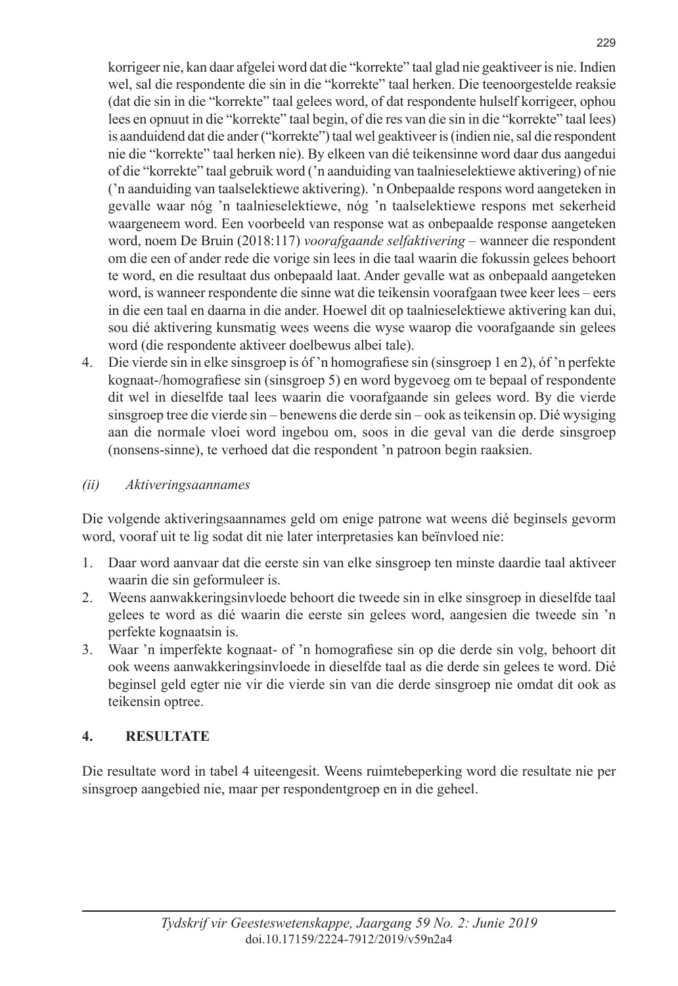korrigeer nie, kan daar afgelei word dat die "korrekte" taal glad nie geaktiveer is nie. Indien wel, sal die respondente die sin in die "korrekte" taal herken. Die teenoorgestelde reaksie (dat die sin in die "korrekte" taal gelees word, of dat respondente hulself korrigeer, ophou lees en opnuut in die "korrekte" taal begin, of die res van die sin in die "korrekte" taal lees) is aanduidend dat die ander ("korrekte") taal wel geaktiveer is (indien nie, sal die respondent nie die "korrekte" taal herken nie). By elkeen van dié teikensinne word daar dus aangedui of die "korrekte" taal gebruik word ('n aanduiding van taalnieselektiewe aktivering) of nie ('n aanduiding van taalselektiewe aktivering). 'n Onbepaalde respons word aangeteken in gevalle waar nóg 'n taalnieselektiewe, nóg 'n taalselektiewe respons met sekerheid waargeneem word. Een voorbeeld van response wat as onbepaalde response aangeteken word, noem De Bruin (2018:117) *voorafgaande selfaktivering* – wanneer die respondent om die een of ander rede die vorige sin lees in die taal waarin die fokussin gelees behoort te word, en die resultaat dus onbepaald laat. Ander gevalle wat as onbepaald aangeteken word, is wanneer respondente die sinne wat die teikensin voorafgaan twee keer lees – eers in die een taal en daarna in die ander. Hoewel dit op taalnieselektiewe aktivering kan dui, sou dié aktivering kunsmatig wees weens die wyse waarop die voorafgaande sin gelees word (die respondente aktiveer doelbewus albei tale).

4. Die vierde sin in elke sinsgroep is óf 'n homografiese sin (sinsgroep 1 en 2), óf 'n perfekte kognaat-/homografiese sin (sinsgroep 5) en word bygevoeg om te bepaal of respondente dit wel in dieselfde taal lees waarin die voorafgaande sin gelees word. By die vierde sinsgroep tree die vierde sin – benewens die derde sin – ook as teikensin op. Dié wysiging aan die normale vloei word ingebou om, soos in die geval van die derde sinsgroep (nonsens-sinne), te verhoed dat die respondent 'n patroon begin raaksien.

## *(ii) Aktiveringsaannames*

Die volgende aktiveringsaannames geld om enige patrone wat weens dié beginsels gevorm word, vooraf uit te lig sodat dit nie later interpretasies kan beïnvloed nie:

- 1. Daar word aanvaar dat die eerste sin van elke sinsgroep ten minste daardie taal aktiveer waarin die sin geformuleer is.
- 2. Weens aanwakkeringsinvloede behoort die tweede sin in elke sinsgroep in dieselfde taal gelees te word as dié waarin die eerste sin gelees word, aangesien die tweede sin 'n perfekte kognaatsin is.
- 3. Waar 'n imperfekte kognaat- of 'n homografiese sin op die derde sin volg, behoort dit ook weens aanwakkeringsinvloede in dieselfde taal as die derde sin gelees te word. Dié beginsel geld egter nie vir die vierde sin van die derde sinsgroep nie omdat dit ook as teikensin optree.

## **4. RESULTATE**

Die resultate word in tabel 4 uiteengesit. Weens ruimtebeperking word die resultate nie per sinsgroep aangebied nie, maar per respondentgroep en in die geheel.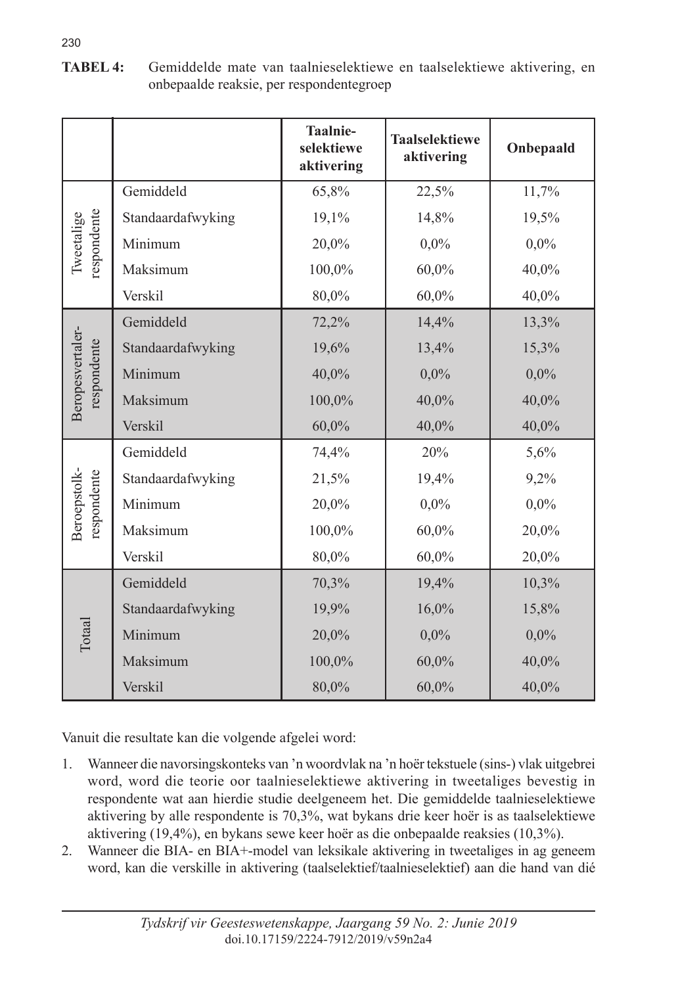|                                 |                   | Taalnie-<br>selektiewe<br>aktivering | <b>Taalselektiewe</b><br>aktivering | Onbepaald |
|---------------------------------|-------------------|--------------------------------------|-------------------------------------|-----------|
| respondente<br>Tweetalige       | Gemiddeld         | 65,8%                                | 22,5%                               | 11,7%     |
|                                 | Standaardafwyking | 19,1%                                | 14,8%                               | 19,5%     |
|                                 | Minimum           | 20,0%                                | $0.0\%$                             | $0.0\%$   |
|                                 | Maksimum          | 100,0%                               | 60,0%                               | 40,0%     |
|                                 | Verskil           | 80,0%                                | 60,0%                               | 40,0%     |
| Beropesvertaler-<br>respondente | Gemiddeld         | 72,2%                                | 14,4%                               | 13,3%     |
|                                 | Standaardafwyking | 19,6%                                | 13,4%                               | 15,3%     |
|                                 | Minimum           | 40,0%                                | 0,0%                                | $0.0\%$   |
|                                 | Maksimum          | 100,0%                               | 40,0%                               | 40,0%     |
|                                 | Verskil           | 60,0%                                | 40,0%                               | 40,0%     |
| Beroepstolk-<br>respondente     | Gemiddeld         | 74,4%                                | 20%                                 | 5,6%      |
|                                 | Standaardafwyking | 21,5%                                | 19,4%                               | 9,2%      |
|                                 | Minimum           | 20,0%                                | $0.0\%$                             | $0.0\%$   |
|                                 | Maksimum          | 100,0%                               | 60,0%                               | 20,0%     |
|                                 | Verskil           | 80,0%                                | 60,0%                               | 20,0%     |
| Totaal                          | Gemiddeld         | 70,3%                                | 19,4%                               | 10,3%     |
|                                 | Standaardafwyking | 19,9%                                | 16,0%                               | 15,8%     |
|                                 | Minimum           | 20,0%                                | 0,0%                                | $0.0\%$   |
|                                 | Maksimum          | 100,0%                               | 60,0%                               | 40,0%     |
|                                 | Verskil           | 80,0%                                | 60,0%                               | 40,0%     |

**TABEL 4:** Gemiddelde mate van taalnieselektiewe en taalselektiewe aktivering, en onbepaalde reaksie, per respondentegroep

Vanuit die resultate kan die volgende afgelei word:

- 1. Wanneer die navorsingskonteks van 'n woordvlak na 'n hoër tekstuele (sins-) vlak uitgebrei word, word die teorie oor taalnieselektiewe aktivering in tweetaliges bevestig in respondente wat aan hierdie studie deelgeneem het. Die gemiddelde taalnieselektiewe aktivering by alle respondente is 70,3%, wat bykans drie keer hoër is as taalselektiewe aktivering (19,4%), en bykans sewe keer hoër as die onbepaalde reaksies (10,3%).
- 2. Wanneer die BIA- en BIA+-model van leksikale aktivering in tweetaliges in ag geneem word, kan die verskille in aktivering (taalselektief/taalnieselektief) aan die hand van dié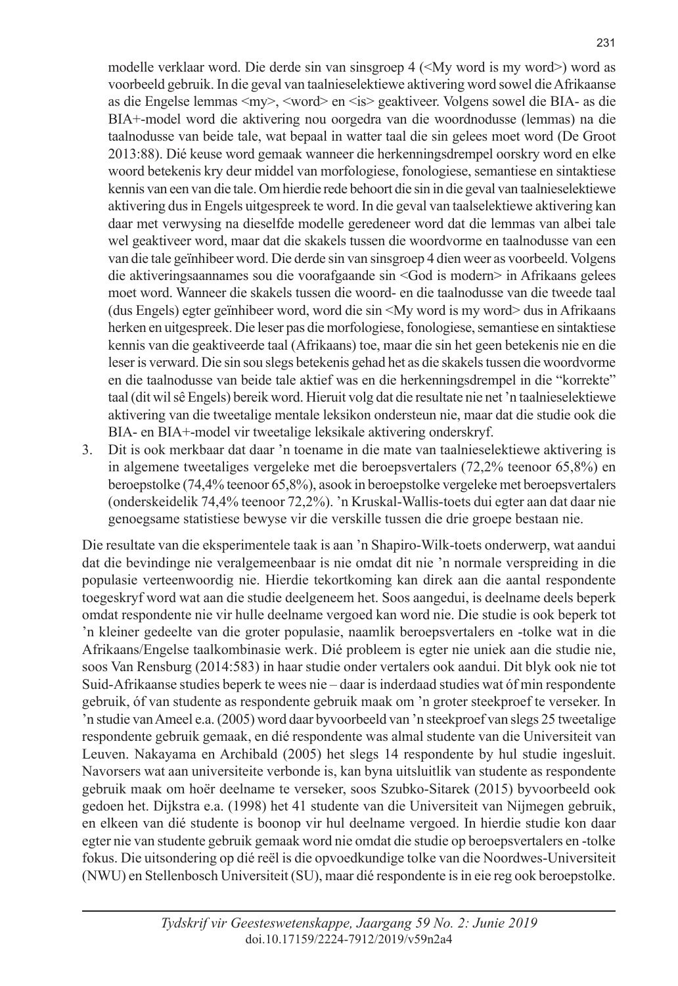modelle verklaar word. Die derde sin van sinsgroep 4 (<My word is my word>) word as voorbeeld gebruik. In die geval van taalnieselektiewe aktivering word sowel die Afrikaanse as die Engelse lemmas <my>, <word> en <is> geaktiveer. Volgens sowel die BIA- as die BIA+-model word die aktivering nou oorgedra van die woordnodusse (lemmas) na die taalnodusse van beide tale, wat bepaal in watter taal die sin gelees moet word (De Groot 2013:88). Dié keuse word gemaak wanneer die herkenningsdrempel oorskry word en elke woord betekenis kry deur middel van morfologiese, fonologiese, semantiese en sintaktiese kennis van een van die tale. Om hierdie rede behoort die sin in die geval van taalnieselektiewe aktivering dus in Engels uitgespreek te word. In die geval van taalselektiewe aktivering kan daar met verwysing na dieselfde modelle geredeneer word dat die lemmas van albei tale wel geaktiveer word, maar dat die skakels tussen die woordvorme en taalnodusse van een van die tale geïnhibeer word. Die derde sin van sinsgroep 4 dien weer as voorbeeld. Volgens die aktiveringsaannames sou die voorafgaande sin <God is modern> in Afrikaans gelees moet word. Wanneer die skakels tussen die woord- en die taalnodusse van die tweede taal (dus Engels) egter geïnhibeer word, word die sin <My word is my word> dus in Afrikaans herken en uitgespreek. Die leser pas die morfologiese, fonologiese, semantiese en sintaktiese kennis van die geaktiveerde taal (Afrikaans) toe, maar die sin het geen betekenis nie en die leser is verward. Die sin sou slegs betekenis gehad het as die skakels tussen die woordvorme en die taalnodusse van beide tale aktief was en die herkenningsdrempel in die "korrekte" taal (dit wil sê Engels) bereik word. Hieruit volg dat die resultate nie net 'n taalnieselektiewe aktivering van die tweetalige mentale leksikon ondersteun nie, maar dat die studie ook die BIA- en BIA+-model vir tweetalige leksikale aktivering onderskryf.

3. Dit is ook merkbaar dat daar 'n toename in die mate van taalnieselektiewe aktivering is in algemene tweetaliges vergeleke met die beroepsvertalers (72,2% teenoor 65,8%) en beroepstolke (74,4% teenoor 65,8%), asook in beroepstolke vergeleke met beroepsvertalers (onderskeidelik 74,4% teenoor 72,2%). 'n Kruskal-Wallis-toets dui egter aan dat daar nie genoegsame statistiese bewyse vir die verskille tussen die drie groepe bestaan nie.

Die resultate van die eksperimentele taak is aan 'n Shapiro-Wilk-toets onderwerp, wat aandui dat die bevindinge nie veralgemeenbaar is nie omdat dit nie 'n normale verspreiding in die populasie verteenwoordig nie. Hierdie tekortkoming kan direk aan die aantal respondente toegeskryf word wat aan die studie deelgeneem het. Soos aangedui, is deelname deels beperk omdat respondente nie vir hulle deelname vergoed kan word nie. Die studie is ook beperk tot 'n kleiner gedeelte van die groter populasie, naamlik beroepsvertalers en -tolke wat in die Afrikaans/Engelse taalkombinasie werk. Dié probleem is egter nie uniek aan die studie nie, soos Van Rensburg (2014:583) in haar studie onder vertalers ook aandui. Dit blyk ook nie tot Suid-Afrikaanse studies beperk te wees nie – daar is inderdaad studies wat óf min respondente gebruik, óf van studente as respondente gebruik maak om 'n groter steekproef te verseker. In 'n studie van Ameel e.a. (2005) word daar byvoorbeeld van 'n steekproef van slegs 25 tweetalige respondente gebruik gemaak, en dié respondente was almal studente van die Universiteit van Leuven. Nakayama en Archibald (2005) het slegs 14 respondente by hul studie ingesluit. Navorsers wat aan universiteite verbonde is, kan byna uitsluitlik van studente as respondente gebruik maak om hoër deelname te verseker, soos Szubko-Sitarek (2015) byvoorbeeld ook gedoen het. Dijkstra e.a. (1998) het 41 studente van die Universiteit van Nijmegen gebruik, en elkeen van dié studente is boonop vir hul deelname vergoed. In hierdie studie kon daar egter nie van studente gebruik gemaak word nie omdat die studie op beroepsvertalers en -tolke fokus. Die uitsondering op dié reël is die opvoedkundige tolke van die Noordwes-Universiteit (NWU) en Stellenbosch Universiteit (SU), maar dié respondente is in eie reg ook beroepstolke.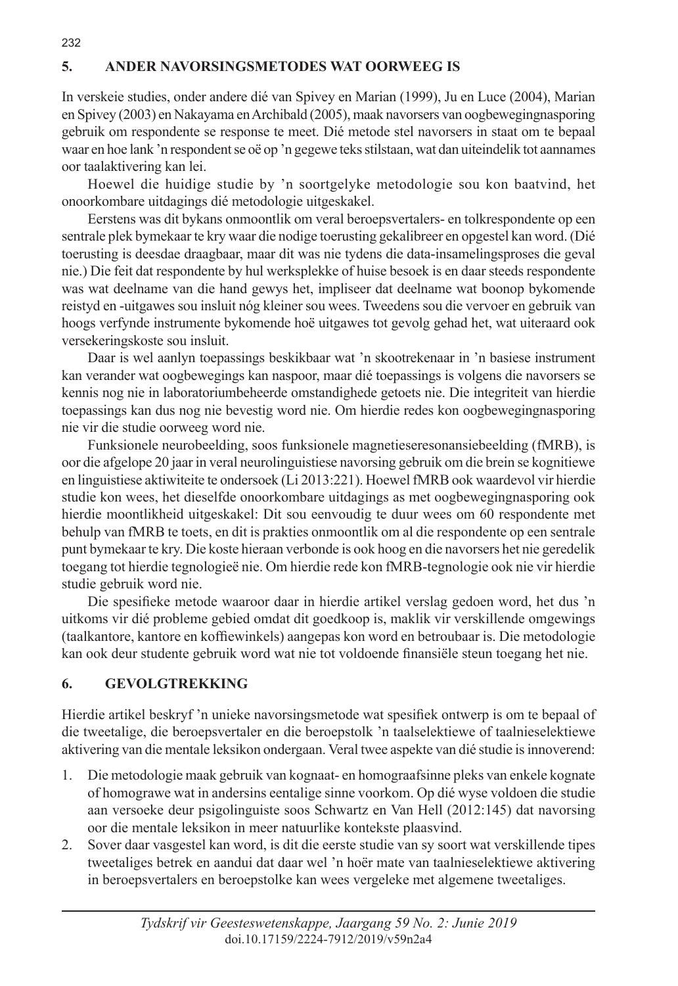## **5. ANDER NAVORSINGSMETODES WAT OORWEEG IS**

232

In verskeie studies, onder andere dié van Spivey en Marian (1999), Ju en Luce (2004), Marian en Spivey (2003) en Nakayama en Archibald (2005), maak navorsers van oogbewegingnasporing gebruik om respondente se response te meet. Dié metode stel navorsers in staat om te bepaal waar en hoe lank 'n respondent se oë op 'n gegewe teks stilstaan, wat dan uiteindelik tot aannames oor taalaktivering kan lei.

Hoewel die huidige studie by 'n soortgelyke metodologie sou kon baatvind, het onoorkombare uitdagings dié metodologie uitgeskakel.

Eerstens was dit bykans onmoontlik om veral beroepsvertalers- en tolkrespondente op een sentrale plek bymekaar te kry waar die nodige toerusting gekalibreer en opgestel kan word. (Dié toerusting is deesdae draagbaar, maar dit was nie tydens die data-insamelingsproses die geval nie.) Die feit dat respondente by hul werksplekke of huise besoek is en daar steeds respondente was wat deelname van die hand gewys het, impliseer dat deelname wat boonop bykomende reistyd en -uitgawes sou insluit nóg kleiner sou wees. Tweedens sou die vervoer en gebruik van hoogs verfynde instrumente bykomende hoë uitgawes tot gevolg gehad het, wat uiteraard ook versekeringskoste sou insluit.

Daar is wel aanlyn toepassings beskikbaar wat 'n skootrekenaar in 'n basiese instrument kan verander wat oogbewegings kan naspoor, maar dié toepassings is volgens die navorsers se kennis nog nie in laboratoriumbeheerde omstandighede getoets nie. Die integriteit van hierdie toepassings kan dus nog nie bevestig word nie. Om hierdie redes kon oogbewegingnasporing nie vir die studie oorweeg word nie.

Funksionele neurobeelding, soos funksionele magnetieseresonansiebeelding (fMRB), is oor die afgelope 20 jaar in veral neurolinguistiese navorsing gebruik om die brein se kognitiewe en linguistiese aktiwiteite te ondersoek (Li 2013:221). Hoewel fMRB ook waardevol vir hierdie studie kon wees, het dieselfde onoorkombare uitdagings as met oogbewegingnasporing ook hierdie moontlikheid uitgeskakel: Dit sou eenvoudig te duur wees om 60 respondente met behulp van fMRB te toets, en dit is prakties onmoontlik om al die respondente op een sentrale punt bymekaar te kry. Die koste hieraan verbonde is ook hoog en die navorsers het nie geredelik toegang tot hierdie tegnologieë nie. Om hierdie rede kon fMRB-tegnologie ook nie vir hierdie studie gebruik word nie.

Die spesifieke metode waaroor daar in hierdie artikel verslag gedoen word, het dus 'n uitkoms vir dié probleme gebied omdat dit goedkoop is, maklik vir verskillende omgewings (taalkantore, kantore en koffiewinkels) aangepas kon word en betroubaar is. Die metodologie kan ook deur studente gebruik word wat nie tot voldoende finansiële steun toegang het nie.

## **6. GEVOLGTREKKING**

Hierdie artikel beskryf 'n unieke navorsingsmetode wat spesifiek ontwerp is om te bepaal of die tweetalige, die beroepsvertaler en die beroepstolk 'n taalselektiewe of taalnieselektiewe aktivering van die mentale leksikon ondergaan. Veral twee aspekte van dié studie is innoverend:

- 1. Die metodologie maak gebruik van kognaat- en homograafsinne pleks van enkele kognate of homograwe wat in andersins eentalige sinne voorkom. Op dié wyse voldoen die studie aan versoeke deur psigolinguiste soos Schwartz en Van Hell (2012:145) dat navorsing oor die mentale leksikon in meer natuurlike kontekste plaasvind.
- 2. Sover daar vasgestel kan word, is dit die eerste studie van sy soort wat verskillende tipes tweetaliges betrek en aandui dat daar wel 'n hoër mate van taalnieselektiewe aktivering in beroepsvertalers en beroepstolke kan wees vergeleke met algemene tweetaliges.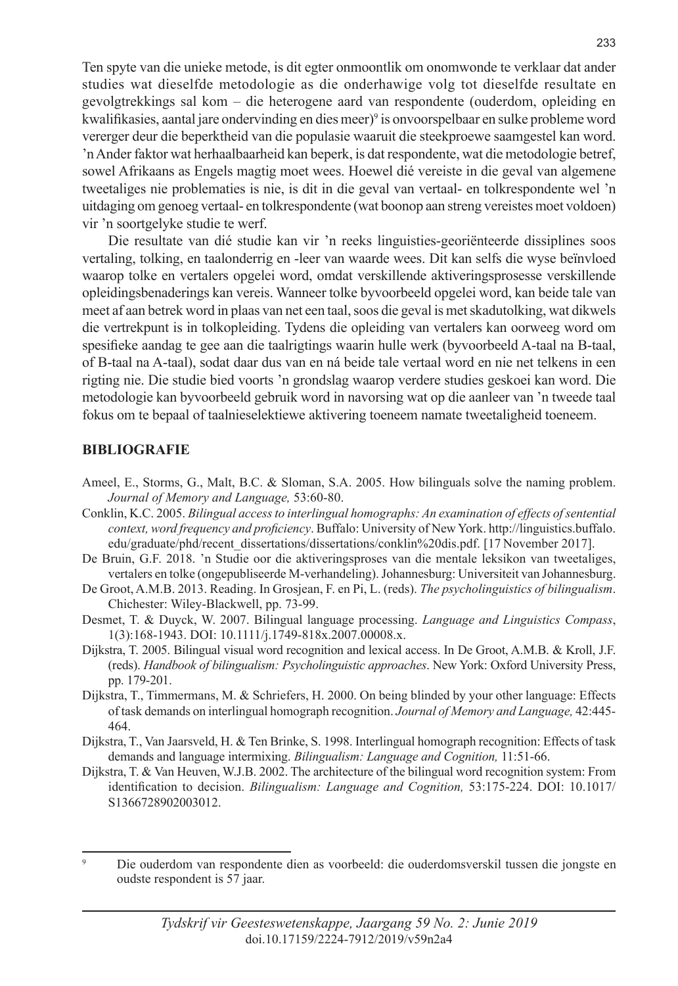Ten spyte van die unieke metode, is dit egter onmoontlik om onomwonde te verklaar dat ander studies wat dieselfde metodologie as die onderhawige volg tot dieselfde resultate en gevolgtrekkings sal kom – die heterogene aard van respondente (ouderdom, opleiding en kwalifikasies, aantal jare ondervinding en dies meer)<sup>9</sup> is onvoorspelbaar en sulke probleme word vererger deur die beperktheid van die populasie waaruit die steekproewe saamgestel kan word. 'n Ander faktor wat herhaalbaarheid kan beperk, is dat respondente, wat die metodologie betref, sowel Afrikaans as Engels magtig moet wees. Hoewel dié vereiste in die geval van algemene tweetaliges nie problematies is nie, is dit in die geval van vertaal- en tolkrespondente wel 'n uitdaging om genoeg vertaal- en tolkrespondente (wat boonop aan streng vereistes moet voldoen) vir 'n soortgelyke studie te werf.

Die resultate van dié studie kan vir 'n reeks linguisties-georiënteerde dissiplines soos vertaling, tolking, en taalonderrig en -leer van waarde wees. Dit kan selfs die wyse beïnvloed waarop tolke en vertalers opgelei word, omdat verskillende aktiveringsprosesse verskillende opleidingsbenaderings kan vereis. Wanneer tolke byvoorbeeld opgelei word, kan beide tale van meet af aan betrek word in plaas van net een taal, soos die geval is met skadutolking, wat dikwels die vertrekpunt is in tolkopleiding. Tydens die opleiding van vertalers kan oorweeg word om spesifieke aandag te gee aan die taalrigtings waarin hulle werk (byvoorbeeld A-taal na B-taal, of B-taal na A-taal), sodat daar dus van en ná beide tale vertaal word en nie net telkens in een rigting nie. Die studie bied voorts 'n grondslag waarop verdere studies geskoei kan word. Die metodologie kan byvoorbeeld gebruik word in navorsing wat op die aanleer van 'n tweede taal fokus om te bepaal of taalnieselektiewe aktivering toeneem namate tweetaligheid toeneem.

#### **BIBLIOGRAFIE**

- Ameel, E., Storms, G., Malt, B.C. & Sloman, S.A. 2005. How bilinguals solve the naming problem. *Journal of Memory and Language,* 53:60-80.
- Conklin, K.C. 2005. *Bilingual access to interlingual homographs: An examination of effects of sentential context, word frequency and proficiency*. Buffalo: University of New York. http://linguistics.buffalo. edu/graduate/phd/recent\_dissertations/dissertations/conklin%20dis.pdf. [17 November 2017].
- De Bruin, G.F. 2018. 'n Studie oor die aktiveringsproses van die mentale leksikon van tweetaliges, vertalers en tolke (ongepubliseerde M-verhandeling). Johannesburg: Universiteit van Johannesburg.
- De Groot, A.M.B. 2013. Reading. In Grosjean, F. en Pi, L. (reds). *The psycholinguistics of bilingualism*. Chichester: Wiley-Blackwell, pp. 73-99.
- Desmet, T. & Duyck, W. 2007. Bilingual language processing. *Language and Linguistics Compass*, 1(3):168-1943. DOI: 10.1111/j.1749-818x.2007.00008.x.
- Dijkstra, T. 2005. Bilingual visual word recognition and lexical access. In De Groot, A.M.B. & Kroll, J.F. (reds). *Handbook of bilingualism: Psycholinguistic approaches*. New York: Oxford University Press, pp. 179-201.
- Dijkstra, T., Timmermans, M. & Schriefers, H. 2000. On being blinded by your other language: Effects of task demands on interlingual homograph recognition. *Journal of Memory and Language,* 42:445- 464.
- Dijkstra, T., Van Jaarsveld, H. & Ten Brinke, S. 1998. Interlingual homograph recognition: Effects of task demands and language intermixing. *Bilingualism: Language and Cognition,* 11:51-66.
- Dijkstra, T. & Van Heuven, W.J.B. 2002. The architecture of the bilingual word recognition system: From identification to decision. *Bilingualism: Language and Cognition,* 53:175-224. DOI: 10.1017/ S1366728902003012.

<sup>9</sup> Die ouderdom van respondente dien as voorbeeld: die ouderdomsverskil tussen die jongste en oudste respondent is 57 jaar.